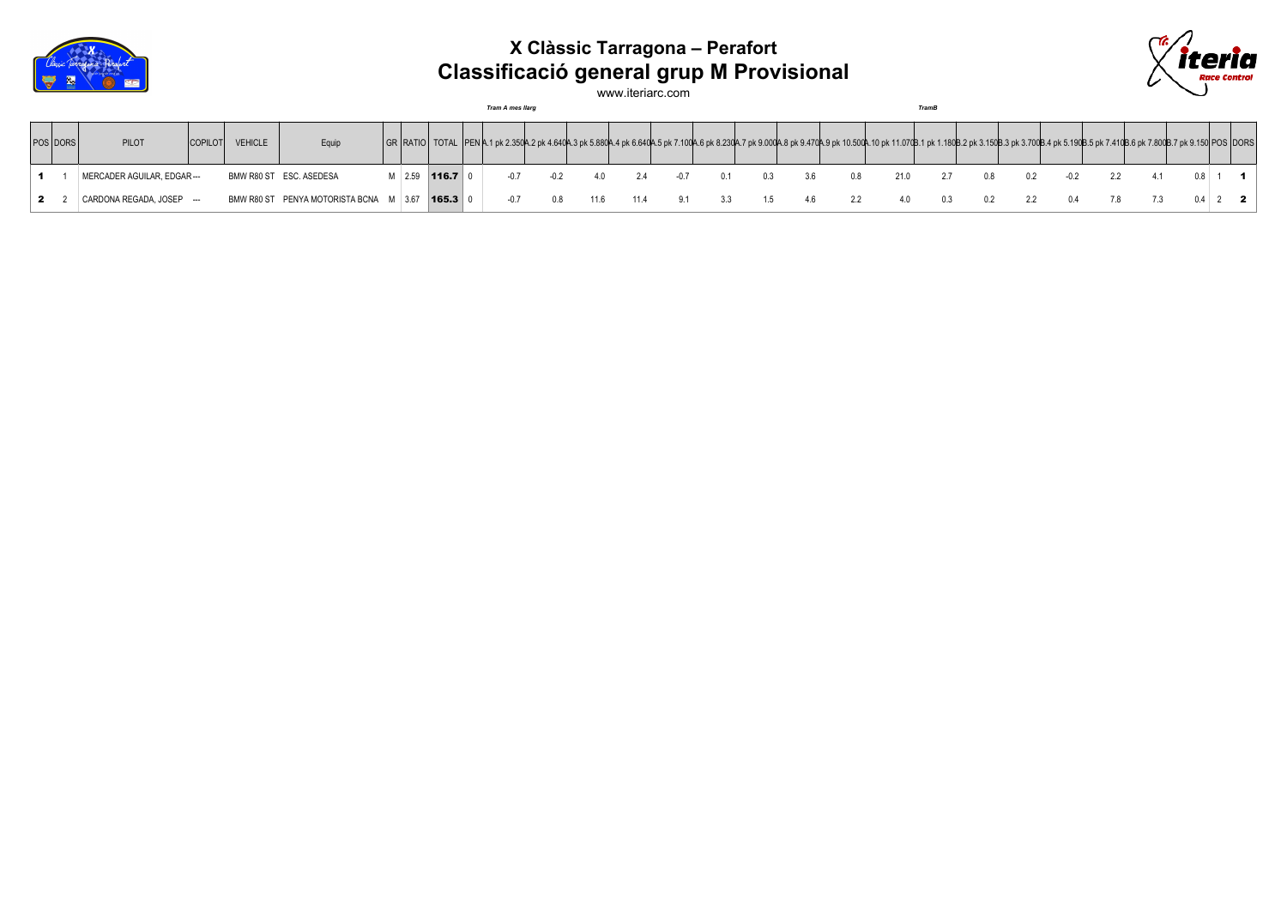

## **X Clàssic Tarragona – Perafort Classificació general grup M Provisional**



www.iteriarc.com

*Tram A mes llarg TramB*

| POS DORS | <b>PILOT</b>                | <b>COPILOT</b> | <b>VEHICLE</b> | Equip                                  |            |           |      |        |      |        |    |     |     |     | GR   RATIO   TOTAL   PEN A.1 pk 2.350A.2 pk 4.640A.3 pk 5.880A.4 pk 6.640A.5 pk 7.100A.6 pk 8.230A.7 pk 9.000A.8 pk 9.470A.9 pk 10.500A.10 pk 11.070B.1 pk 1.180B.2 pk 3.150B.3 pk 3.700B.4 pk 5.190B.5 pk 7.400B.6 pk 7.800B |     |     |     |    |  |           |  |
|----------|-----------------------------|----------------|----------------|----------------------------------------|------------|-----------|------|--------|------|--------|----|-----|-----|-----|-------------------------------------------------------------------------------------------------------------------------------------------------------------------------------------------------------------------------------|-----|-----|-----|----|--|-----------|--|
|          | MERCADER AGUILAR, EDGAR --- |                |                | BMW R80 ST ESC. ASEDESA                | $M = 2.59$ | 116.7     | -0.7 | $-0.2$ | 40   | $-0.7$ |    | 0.3 | 3.6 | 0.8 | 21.0                                                                                                                                                                                                                          | 2.7 | 0.8 | 02. |    |  |           |  |
|          | CARDONA REGADA, JOSEP ---   |                |                | BMW R80 ST PENYA MOTORISTA BCNA M 3.67 |            | $165.3$ 0 | -0.7 | 0. R   | 11.6 | 91     | 33 | 1.5 | 46  | 2.2 | 40                                                                                                                                                                                                                            | 0.3 |     | 2.2 | 04 |  | $0.4$ 2 2 |  |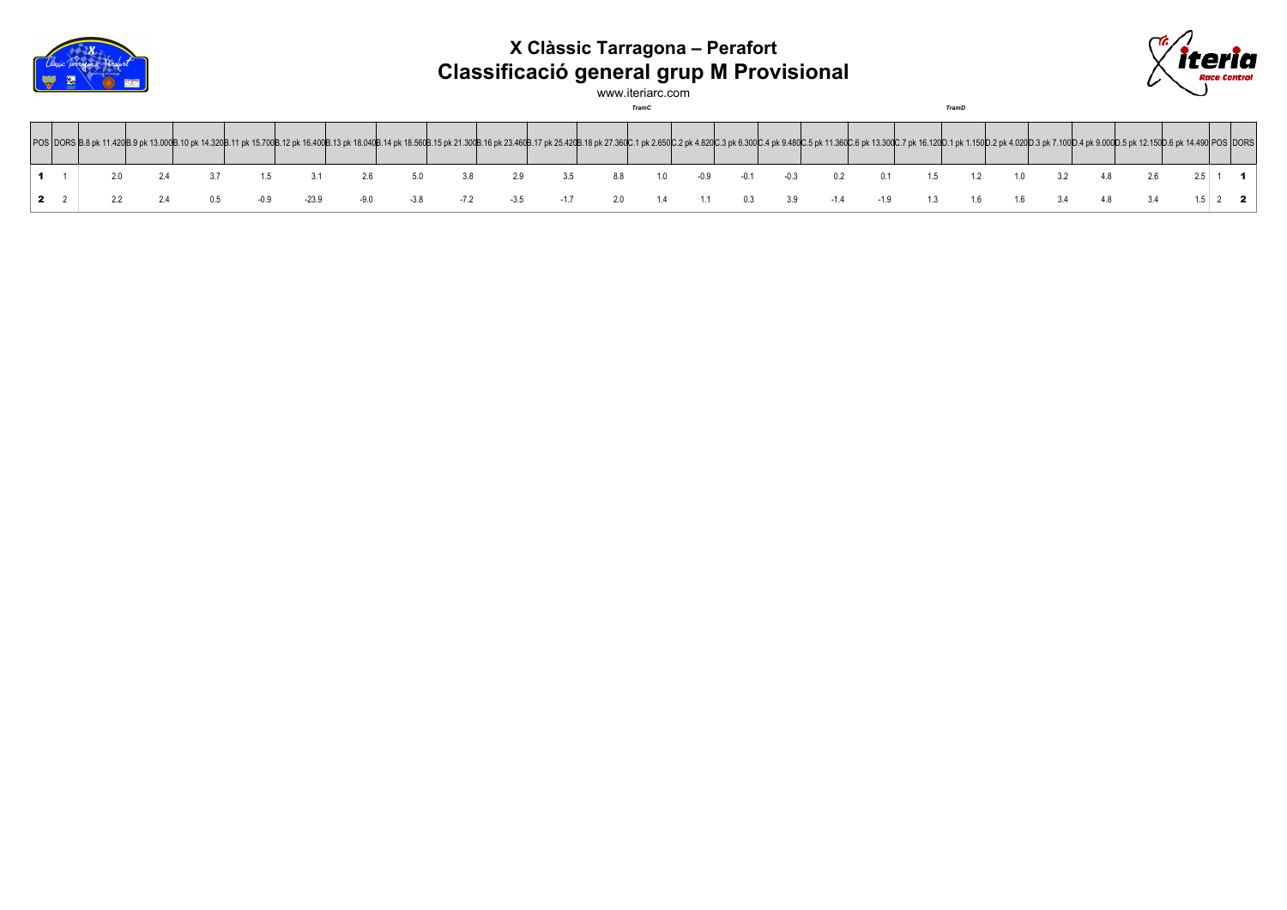

## **X Clàssic Tarragona – Perafort Classificació general grup M Provisional**



www.iteriarc.com

*TramC TramD*

|  |  |  | POS DORS B.8 pk 11.420B.9 pk 13.000B.10 pk 14.320B.11 pk 14.700B.12 pk 16.400B.12 pk 18.040B.14 pk 18.560B.15 pk 21.300B.16 pk 23.460B.17 pk 25.420B.18 pk 27.360C.1 pk 2.650C.2 pk 4.820C.3 pk 6.300C.4 pk 9.480C.5 pk 11.360 |        |    |     |     |     |        |                  |     |     |       |       |    |     |    |  |  |
|--|--|--|--------------------------------------------------------------------------------------------------------------------------------------------------------------------------------------------------------------------------------|--------|----|-----|-----|-----|--------|------------------|-----|-----|-------|-------|----|-----|----|--|--|
|  |  |  |                                                                                                                                                                                                                                |        | 29 | 3.5 | 8.8 | 10  | $-0.9$ | $-0.1$           |     | 0.2 | 01    |       |    |     |    |  |  |
|  |  |  |                                                                                                                                                                                                                                | $-3.8$ |    |     | 2.0 | 1.4 |        | $1.1 \qquad 0.3$ | 3.9 |     | $-19$ | 13 16 | 16 | 3.4 | 48 |  |  |